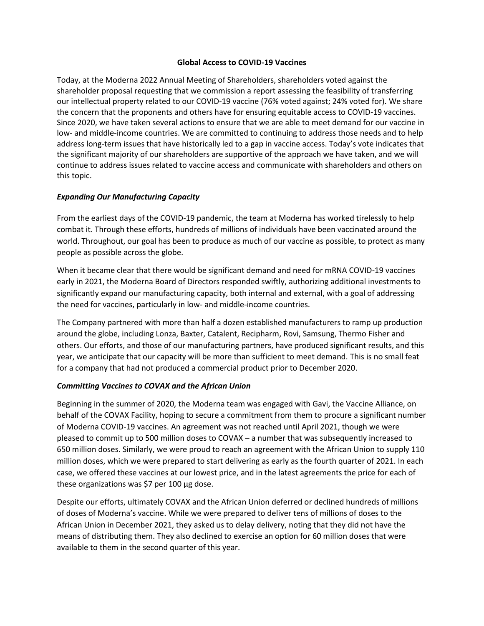#### **Global Access to COVID-19 Vaccines**

Today, at the Moderna 2022 Annual Meeting of Shareholders, shareholders voted against the shareholder proposal requesting that we commission a report assessing the feasibility of transferring our intellectual property related to our COVID-19 vaccine (76% voted against; 24% voted for). We share the concern that the proponents and others have for ensuring equitable access to COVID-19 vaccines. Since 2020, we have taken several actions to ensure that we are able to meet demand for our vaccine in low- and middle-income countries. We are committed to continuing to address those needs and to help address long-term issues that have historically led to a gap in vaccine access. Today's vote indicates that the significant majority of our shareholders are supportive of the approach we have taken, and we will continue to address issues related to vaccine access and communicate with shareholders and others on this topic.

### *Expanding Our Manufacturing Capacity*

From the earliest days of the COVID-19 pandemic, the team at Moderna has worked tirelessly to help combat it. Through these efforts, hundreds of millions of individuals have been vaccinated around the world. Throughout, our goal has been to produce as much of our vaccine as possible, to protect as many people as possible across the globe.

When it became clear that there would be significant demand and need for mRNA COVID-19 vaccines early in 2021, the Moderna Board of Directors responded swiftly, authorizing additional investments to significantly expand our manufacturing capacity, both internal and external, with a goal of addressing the need for vaccines, particularly in low- and middle-income countries.

The Company partnered with more than half a dozen established manufacturers to ramp up production around the globe, including Lonza, Baxter, Catalent, Recipharm, Rovi, Samsung, Thermo Fisher and others. Our efforts, and those of our manufacturing partners, have produced significant results, and this year, we anticipate that our capacity will be more than sufficient to meet demand. This is no small feat for a company that had not produced a commercial product prior to December 2020.

### *Committing Vaccines to COVAX and the African Union*

Beginning in the summer of 2020, the Moderna team was engaged with Gavi, the Vaccine Alliance, on behalf of the COVAX Facility, hoping to secure a commitment from them to procure a significant number of Moderna COVID-19 vaccines. An agreement was not reached until April 2021, though we were pleased to commit up to 500 million doses to COVAX – a number that was subsequently increased to 650 million doses. Similarly, we were proud to reach an agreement with the African Union to supply 110 million doses, which we were prepared to start delivering as early as the fourth quarter of 2021. In each case, we offered these vaccines at our lowest price, and in the latest agreements the price for each of these organizations was \$7 per 100 µg dose.

Despite our efforts, ultimately COVAX and the African Union deferred or declined hundreds of millions of doses of Moderna's vaccine. While we were prepared to deliver tens of millions of doses to the African Union in December 2021, they asked us to delay delivery, noting that they did not have the means of distributing them. They also declined to exercise an option for 60 million doses that were available to them in the second quarter of this year.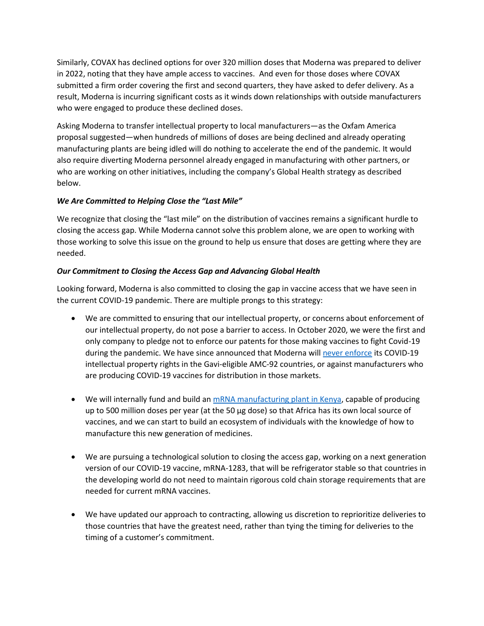Similarly, COVAX has declined options for over 320 million doses that Moderna was prepared to deliver in 2022, noting that they have ample access to vaccines. And even for those doses where COVAX submitted a firm order covering the first and second quarters, they have asked to defer delivery. As a result, Moderna is incurring significant costs as it winds down relationships with outside manufacturers who were engaged to produce these declined doses.

Asking Moderna to transfer intellectual property to local manufacturers—as the Oxfam America proposal suggested—when hundreds of millions of doses are being declined and already operating manufacturing plants are being idled will do nothing to accelerate the end of the pandemic. It would also require diverting Moderna personnel already engaged in manufacturing with other partners, or who are working on other initiatives, including the company's Global Health strategy as described below.

# *We Are Committed to Helping Close the "Last Mile"*

We recognize that closing the "last mile" on the distribution of vaccines remains a significant hurdle to closing the access gap. While Moderna cannot solve this problem alone, we are open to working with those working to solve this issue on the ground to help us ensure that doses are getting where they are needed.

## *Our Commitment to Closing the Access Gap and Advancing Global Health*

Looking forward, Moderna is also committed to closing the gap in vaccine access that we have seen in the current COVID-19 pandemic. There are multiple prongs to this strategy:

- We are committed to ensuring that our intellectual property, or concerns about enforcement of our intellectual property, do not pose a barrier to access. In October 2020, we were the first and only company to pledge not to enforce our patents for those making vaccines to fight Covid-19 during the pandemic. We have since announced that Moderna wil[l never enforce](https://investors.modernatx.com/Statements--Perspectives/Statements--Perspectives-Details/2022/Modernas-Updated-Patent-Pledge/default.aspx) its COVID-19 intellectual property rights in the Gavi-eligible AMC-92 countries, or against manufacturers who are producing COVID-19 vaccines for distribution in those markets.
- We will internally fund and build a[n mRNA manufacturing plant in Kenya,](https://investors.modernatx.com/news/news-details/2022/Moderna-Announces-Memorandum-of-Understanding-with-the-Government-of-the-Republic-of-Kenya-to-Establish-its-First-mRNA-Manufacturing-Facility-in-Africa-03-07-2022/default.aspx) capable of producing up to 500 million doses per year (at the 50 µg dose) so that Africa has its own local source of vaccines, and we can start to build an ecosystem of individuals with the knowledge of how to manufacture this new generation of medicines.
- We are pursuing a technological solution to closing the access gap, working on a next generation version of our COVID-19 vaccine, mRNA-1283, that will be refrigerator stable so that countries in the developing world do not need to maintain rigorous cold chain storage requirements that are needed for current mRNA vaccines.
- We have updated our approach to contracting, allowing us discretion to reprioritize deliveries to those countries that have the greatest need, rather than tying the timing for deliveries to the timing of a customer's commitment.